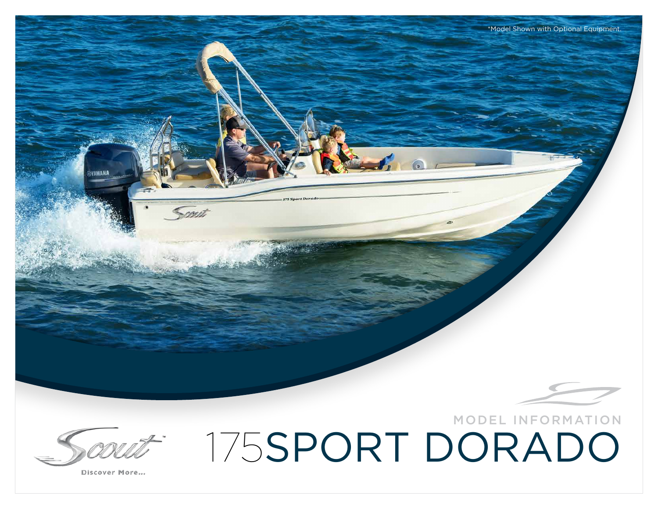

\*Model Shown with Optional Equipment.

MODEL INFORMATION

175SPORT DORADO

Discover More...

Sau